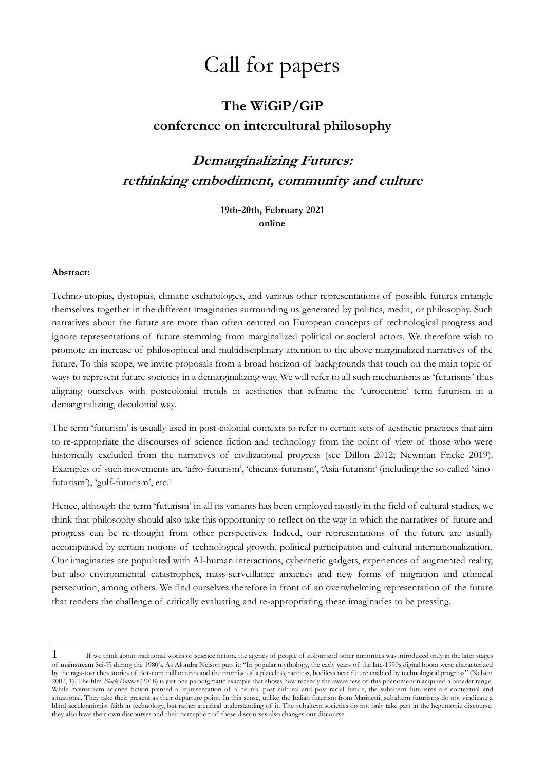# Call for papers

# **The WiGiP/GiP conference on intercultural philosophy**

# **Demarginalizing Futures: rethinking embodiment, community and culture**

**19th-20th, February 2021 online**

### **Abstract:**

1

Techno-utopias, dystopias, climatic eschatologies, and various other representations of possible futures entangle themselves together in the different imaginaries surrounding us generated by politics, media, or philosophy. Such narratives about the future are more than often centred on European concepts of technological progress and ignore representations of future stemming from marginalized political or societal actors. We therefore wish to promote an increase of philosophical and multidisciplinary attention to the above marginalized narratives of the future. To this scope, we invite proposals from a broad horizon of backgrounds that touch on the main topic of ways to represent future societies in a demarginalizing way. We will refer to all such mechanisms as 'futurisms' thus aligning ourselves with postcolonial trends in aesthetics that reframe the 'eurocentric' term futurism in a demarginalizing, decolonial way.

The term 'futurism' is usually used in post-colonial contexts to refer to certain sets of aesthetic practices that aim to re-appropriate the discourses of science fiction and technology from the point of view of those who were historically excluded from the narratives of civilizational progress (see Dillon 2012; Newman Fricke 2019). Examples of such movements are 'afro-futurism', 'chicanx-futurism', 'Asia-futurism' (including the so-called 'sinofuturism'), 'gulf-futurism', etc.<sup>1</sup>

Hence, although the term 'futurism' in all its variants has been employed mostly in the field of cultural studies, we think that philosophy should also take this opportunity to reflect on the way in which the narratives of future and progress can be re-thought from other perspectives. Indeed, our representations of the future are usually accompanied by certain notions of technological growth, political participation and cultural internationalization. Our imaginaries are populated with AI-human interactions, cybernetic gadgets, experiences of augmented reality, but also environmental catastrophes, mass-surveillance anxieties and new forms of migration and ethnical persecution, among others. We find ourselves therefore in front of an overwhelming representation of the future that renders the challenge of critically evaluating and re-appropriating these imaginaries to be pressing.

<sup>1</sup> If we think about traditional works of science fiction, the agency of people of colour and other minorities was introduced only in the later stages of mainstream Sci-Fi during the 1980's. As Alondra Nelson puts it: "In popular mythology, the early years of the late-1990s digital boom were characterized by the rags-to-riches stories of dot-com millionaires and the promise of a placeless, raceless, bodiless near future enabled by technological progress" (Nelson 2002, 1). The film *Black Panther* (2018) is just one paradigmatic example that shows how recently the awareness of this phenomenon acquired a broader range. While mainstream science fiction painted a representation of a neutral post-cultural and post-racial future, the subaltern futurisms are contextual and situational. They take their present as their departure point. In this sense, unlike the Italian futurism from Marinetti, subaltern futurisms do not vindicate a blind accelerationist faith in technology, but rather a critical understanding of it. The subaltern societies do not only take part in the hegemonic discourse, they also have their own discourses and their perception of these discourses also changes our discourse.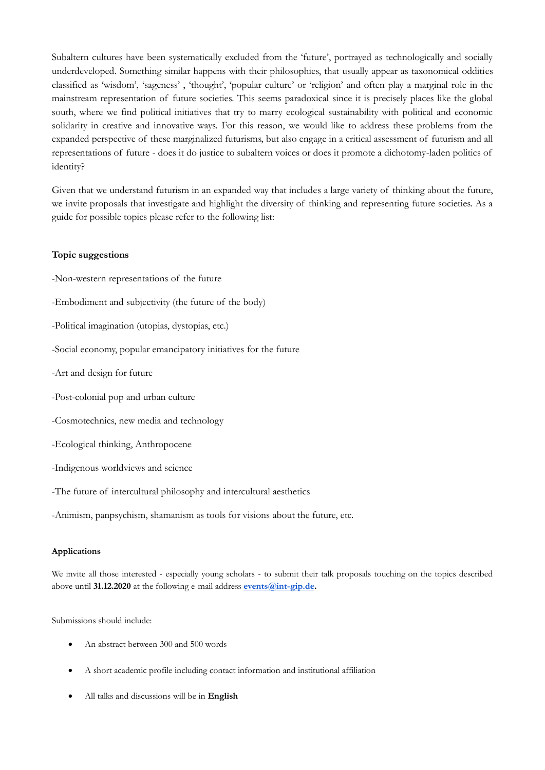Subaltern cultures have been systematically excluded from the 'future', portrayed as technologically and socially underdeveloped. Something similar happens with their philosophies, that usually appear as taxonomical oddities classified as 'wisdom', 'sageness' , 'thought', 'popular culture' or 'religion' and often play a marginal role in the mainstream representation of future societies. This seems paradoxical since it is precisely places like the global south, where we find political initiatives that try to marry ecological sustainability with political and economic solidarity in creative and innovative ways. For this reason, we would like to address these problems from the expanded perspective of these marginalized futurisms, but also engage in a critical assessment of futurism and all representations of future - does it do justice to subaltern voices or does it promote a dichotomy-laden politics of identity?

Given that we understand futurism in an expanded way that includes a large variety of thinking about the future, we invite proposals that investigate and highlight the diversity of thinking and representing future societies. As a guide for possible topics please refer to the following list:

# **Topic suggestions**

- -Non-western representations of the future
- -Embodiment and subjectivity (the future of the body)
- -Political imagination (utopias, dystopias, etc.)
- -Social economy, popular emancipatory initiatives for the future
- -Art and design for future
- -Post-colonial pop and urban culture
- -Cosmotechnics, new media and technology
- -Ecological thinking, Anthropocene
- -Indigenous worldviews and science
- -The future of intercultural philosophy and intercultural aesthetics

-Animism, panpsychism, shamanism as tools for visions about the future, etc.

## **Applications**

We invite all those interested - especially young scholars - to submit their talk proposals touching on the topics described above until **31.12.2020** at the following e-mail address **[events@int-gip.de.](https://email.ionos.de/appsuite/?tl=y)**

Submissions should include:

- An abstract between 300 and 500 words
- A short academic profile including contact information and institutional affiliation
- All talks and discussions will be in **English**